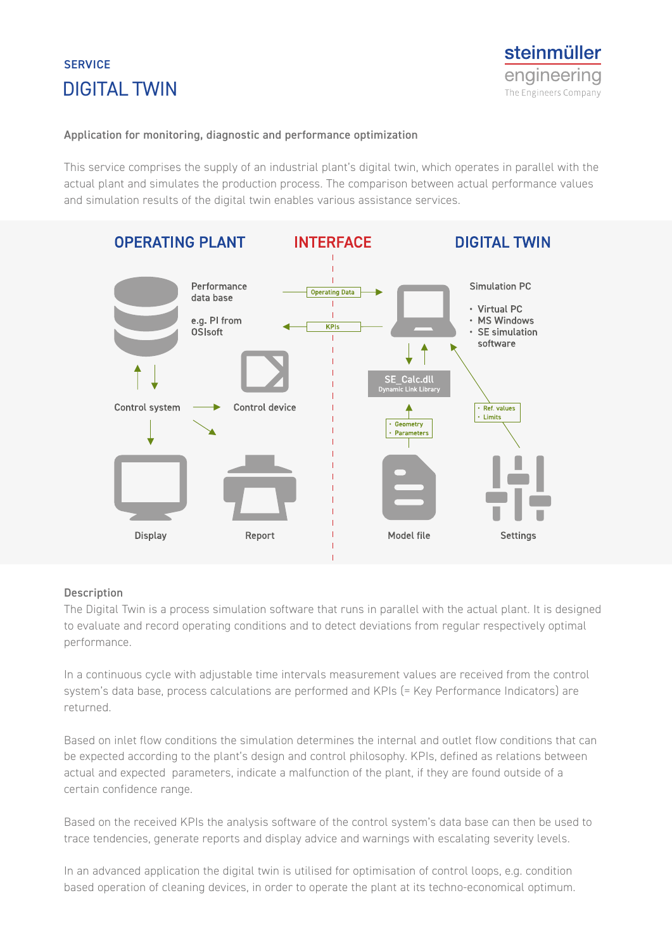## DIGITAL TWIN **SERVICE**



#### **Application for monitoring, diagnostic and performance optimization**

This service comprises the supply of an industrial plant's digital twin, which operates in parallel with the actual plant and simulates the production process. The comparison between actual performance values and simulation results of the digital twin enables various assistance services.



#### **Description**

The Digital Twin is a process simulation software that runs in parallel with the actual plant. It is designed to evaluate and record operating conditions and to detect deviations from regular respectively optimal performance.

In a continuous cycle with adjustable time intervals measurement values are received from the control system's data base, process calculations are performed and KPIs (= Key Performance Indicators) are returned.

Based on inlet flow conditions the simulation determines the internal and outlet flow conditions that can be expected according to the plant's design and control philosophy. KPIs, defined as relations between actual and expected parameters, indicate a malfunction of the plant, if they are found outside of a certain confidence range.

Based on the received KPIs the analysis software of the control system's data base can then be used to trace tendencies, generate reports and display advice and warnings with escalating severity levels.

In an advanced application the digital twin is utilised for optimisation of control loops, e.g. condition based operation of cleaning devices, in order to operate the plant at its techno-economical optimum.